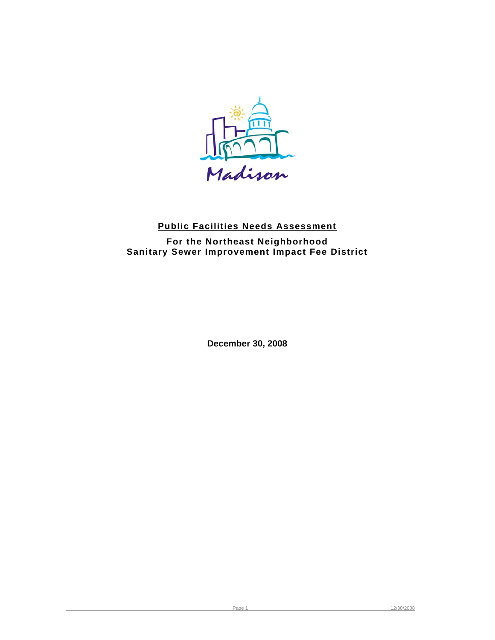

# **Public Facilities Needs Assessment**

**For the Northeast Neighborhood Sanitary Sewer Improvement Impact Fee District** 

**December 30, 2008**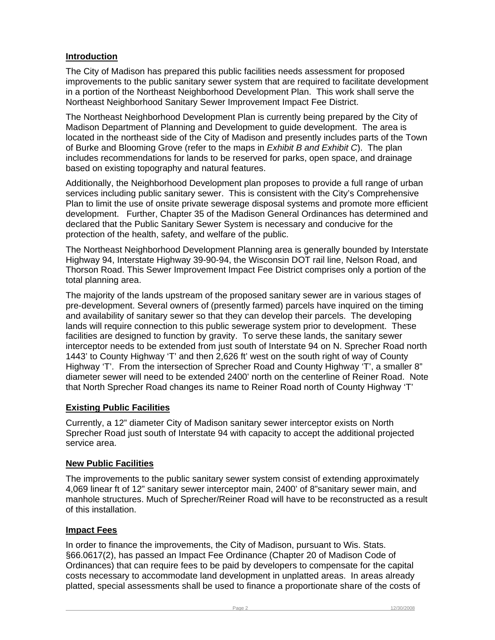## **Introduction**

The City of Madison has prepared this public facilities needs assessment for proposed improvements to the public sanitary sewer system that are required to facilitate development in a portion of the Northeast Neighborhood Development Plan. This work shall serve the Northeast Neighborhood Sanitary Sewer Improvement Impact Fee District.

The Northeast Neighborhood Development Plan is currently being prepared by the City of Madison Department of Planning and Development to guide development. The area is located in the northeast side of the City of Madison and presently includes parts of the Town of Burke and Blooming Grove (refer to the maps in *Exhibit B and Exhibit C*). The plan includes recommendations for lands to be reserved for parks, open space, and drainage based on existing topography and natural features.

Additionally, the Neighborhood Development plan proposes to provide a full range of urban services including public sanitary sewer. This is consistent with the City's Comprehensive Plan to limit the use of onsite private sewerage disposal systems and promote more efficient development. Further, Chapter 35 of the Madison General Ordinances has determined and declared that the Public Sanitary Sewer System is necessary and conducive for the protection of the health, safety, and welfare of the public.

The Northeast Neighborhood Development Planning area is generally bounded by Interstate Highway 94, Interstate Highway 39-90-94, the Wisconsin DOT rail line, Nelson Road, and Thorson Road. This Sewer Improvement Impact Fee District comprises only a portion of the total planning area.

The majority of the lands upstream of the proposed sanitary sewer are in various stages of pre-development. Several owners of (presently farmed) parcels have inquired on the timing and availability of sanitary sewer so that they can develop their parcels. The developing lands will require connection to this public sewerage system prior to development. These facilities are designed to function by gravity. To serve these lands, the sanitary sewer interceptor needs to be extended from just south of Interstate 94 on N. Sprecher Road north 1443' to County Highway 'T' and then 2,626 ft' west on the south right of way of County Highway 'T'. From the intersection of Sprecher Road and County Highway 'T', a smaller 8" diameter sewer will need to be extended 2400' north on the centerline of Reiner Road. Note that North Sprecher Road changes its name to Reiner Road north of County Highway 'T'

### **Existing Public Facilities**

Currently, a 12" diameter City of Madison sanitary sewer interceptor exists on North Sprecher Road just south of Interstate 94 with capacity to accept the additional projected service area.

### **New Public Facilities**

The improvements to the public sanitary sewer system consist of extending approximately 4,069 linear ft of 12" sanitary sewer interceptor main, 2400' of 8"sanitary sewer main, and manhole structures. Much of Sprecher/Reiner Road will have to be reconstructed as a result of this installation.

### **Impact Fees**

In order to finance the improvements, the City of Madison, pursuant to Wis. Stats. §66.0617(2), has passed an Impact Fee Ordinance (Chapter 20 of Madison Code of Ordinances) that can require fees to be paid by developers to compensate for the capital costs necessary to accommodate land development in unplatted areas. In areas already platted, special assessments shall be used to finance a proportionate share of the costs of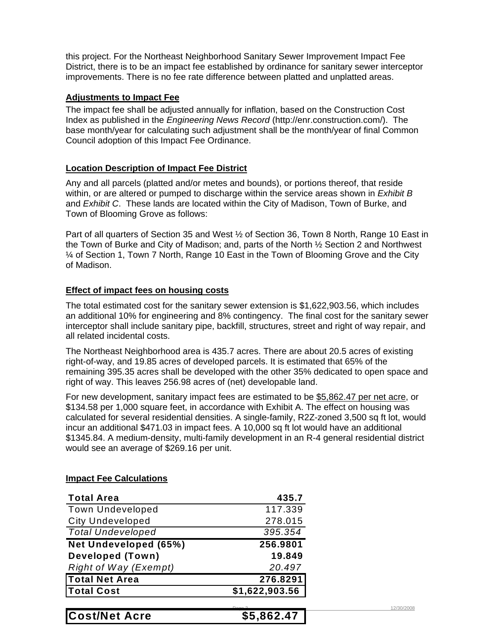this project. For the Northeast Neighborhood Sanitary Sewer Improvement Impact Fee District, there is to be an impact fee established by ordinance for sanitary sewer interceptor improvements. There is no fee rate difference between platted and unplatted areas.

#### **Adjustments to Impact Fee**

The impact fee shall be adjusted annually for inflation, based on the Construction Cost Index as published in the *Engineering News Record* (http://enr.construction.com/). The base month/year for calculating such adjustment shall be the month/year of final Common Council adoption of this Impact Fee Ordinance.

#### **Location Description of Impact Fee District**

Any and all parcels (platted and/or metes and bounds), or portions thereof, that reside within, or are altered or pumped to discharge within the service areas shown in *Exhibit B*  and *Exhibit C*. These lands are located within the City of Madison, Town of Burke, and Town of Blooming Grove as follows:

Part of all quarters of Section 35 and West ½ of Section 36, Town 8 North, Range 10 East in the Town of Burke and City of Madison; and, parts of the North ½ Section 2 and Northwest ¼ of Section 1, Town 7 North, Range 10 East in the Town of Blooming Grove and the City of Madison.

#### **Effect of impact fees on housing costs**

The total estimated cost for the sanitary sewer extension is \$1,622,903.56, which includes an additional 10% for engineering and 8% contingency. The final cost for the sanitary sewer interceptor shall include sanitary pipe, backfill, structures, street and right of way repair, and all related incidental costs.

The Northeast Neighborhood area is 435.7 acres. There are about 20.5 acres of existing right-of-way, and 19.85 acres of developed parcels. It is estimated that 65% of the remaining 395.35 acres shall be developed with the other 35% dedicated to open space and right of way. This leaves 256.98 acres of (net) developable land.

For new development, sanitary impact fees are estimated to be \$5,862.47 per net acre, or \$134.58 per 1,000 square feet, in accordance with Exhibit A. The effect on housing was calculated for several residential densities. A single-family, R2Z-zoned 3,500 sq ft lot, would incur an additional \$471.03 in impact fees. A 10,000 sq ft lot would have an additional \$1345.84. A medium-density, multi-family development in an R-4 general residential district would see an average of \$269.16 per unit.

#### **Impact Fee Calculations**

| <b>Total Area</b>            | 435.7              |
|------------------------------|--------------------|
| <b>Town Undeveloped</b>      | 117.339            |
| <b>City Undeveloped</b>      | 278.015            |
| <b>Total Undeveloped</b>     | 395.354            |
| Net Undeveloped (65%)        | 256.9801           |
| <b>Developed (Town)</b>      | 19.849             |
| <b>Right of Way (Exempt)</b> | 20.497             |
| <b>Total Net Area</b>        | 276.8291           |
| <b>Total Cost</b>            | \$1,622,903.56     |
|                              | D <sub>2</sub> < 2 |
| .<br>.                       |                    |

**Cost/Net Acre \$5,862.47**

12/30/2008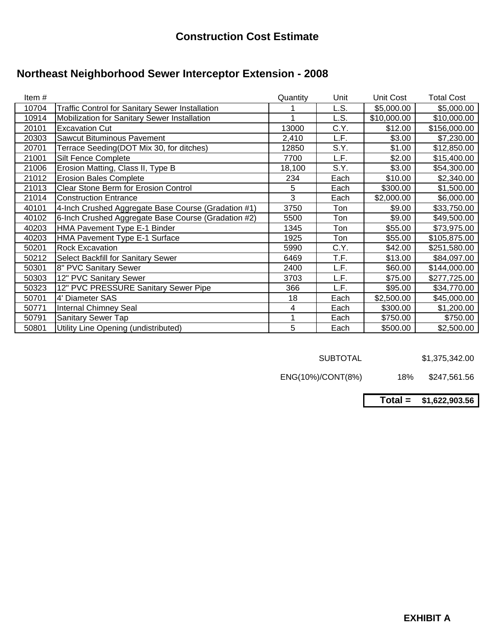# **Northeast Neighborhood Sewer Interceptor Extension - 2008**

| Item# |                                                        | Quantity | Unit | Unit Cost   | <b>Total Cost</b> |
|-------|--------------------------------------------------------|----------|------|-------------|-------------------|
| 10704 | <b>Traffic Control for Sanitary Sewer Installation</b> |          | L.S. | \$5,000.00  | \$5,000.00        |
| 10914 | Mobilization for Sanitary Sewer Installation           |          | L.S. | \$10,000.00 | \$10,000.00       |
| 20101 | <b>Excavation Cut</b>                                  | 13000    | C.Y. | \$12.00     | \$156,000.00      |
| 20303 | Sawcut Bituminous Pavement                             | 2,410    | L.F. | \$3.00      | \$7,230.00        |
| 20701 | Terrace Seeding(DOT Mix 30, for ditches)               | 12850    | S.Y. | \$1.00      | \$12,850.00       |
| 21001 | <b>Silt Fence Complete</b>                             | 7700     | L.F. | \$2.00      | \$15,400.00       |
| 21006 | Erosion Matting, Class II, Type B                      | 18,100   | S.Y. | \$3.00      | \$54,300.00       |
| 21012 | <b>Erosion Bales Complete</b>                          | 234      | Each | \$10.00     | \$2,340.00        |
| 21013 | <b>Clear Stone Berm for Erosion Control</b>            | 5        | Each | \$300.00    | \$1,500.00        |
| 21014 | <b>Construction Entrance</b>                           | 3        | Each | \$2,000.00  | \$6,000.00        |
| 40101 | 4-Inch Crushed Aggregate Base Course (Gradation #1)    | 3750     | Ton  | \$9.00      | \$33,750.00       |
| 40102 | 6-Inch Crushed Aggregate Base Course (Gradation #2)    | 5500     | Ton  | \$9.00      | \$49,500.00       |
| 40203 | HMA Pavement Type E-1 Binder                           | 1345     | Ton  | \$55.00     | \$73,975.00       |
| 40203 | HMA Pavement Type E-1 Surface                          | 1925     | Ton  | \$55.00     | \$105,875.00      |
| 50201 | <b>Rock Excavation</b>                                 | 5990     | C.Y. | \$42.00     | \$251,580.00      |
| 50212 | Select Backfill for Sanitary Sewer                     | 6469     | T.F. | \$13.00     | \$84,097.00       |
| 50301 | 8" PVC Sanitary Sewer                                  | 2400     | L.F. | \$60.00     | \$144,000.00      |
| 50303 | 12" PVC Sanitary Sewer                                 | 3703     | L.F. | \$75.00     | \$277,725.00      |
| 50323 | 12" PVC PRESSURE Sanitary Sewer Pipe                   | 366      | L.F. | \$95.00     | \$34,770.00       |
| 50701 | 4' Diameter SAS                                        | 18       | Each | \$2,500.00  | \$45,000.00       |
| 50771 | <b>Internal Chimney Seal</b>                           | 4        | Each | \$300.00    | \$1,200.00        |
| 50791 | <b>Sanitary Sewer Tap</b>                              |          | Each | \$750.00    | \$750.00          |
| 50801 | Utility Line Opening (undistributed)                   | 5        | Each | \$500.00    | \$2,500.00        |

SUBTOTAL \$1,375,342.00

ENG(10%)/CONT(8%) 18% \$247,561.56

**Total = \$1,622,903.56**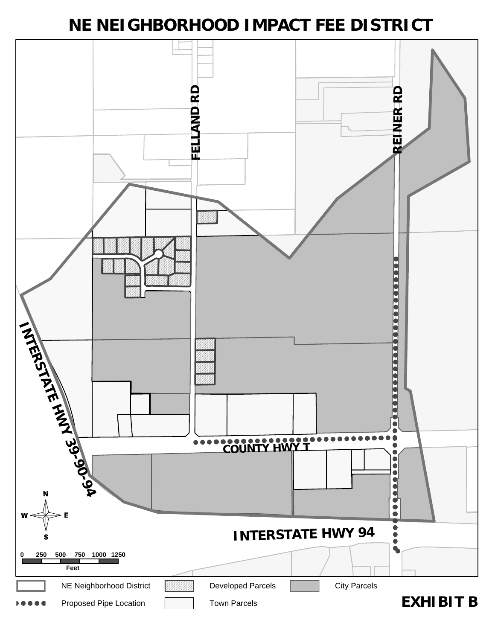# **NE NEIGHBORHOOD IMPACT FEE DISTRICT**